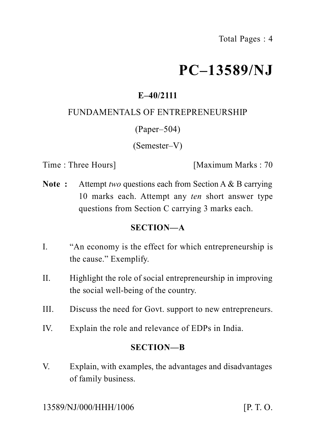# **PC–13589/NJ**

## **E–40/2111**

## FUNDAMENTALS OF ENTREPRENEURSHIP

## (Paper–504)

## (Semester–V)

Time : Three Hours **I** [Maximum Marks : 70]

**Note :** Attempt *two* questions each from Section A & B carrying 10 marks each. Attempt any *ten* short answer type questions from Section C carrying 3 marks each.

## **SECTION—A**

- I. "An economy is the effect for which entrepreneurship is the cause." Exemplify.
- II. Highlight the role of social entrepreneurship in improving the social well-being of the country.
- III. Discuss the need for Govt. support to new entrepreneurs.
- IV. Explain the role and relevance of EDPs in India.

## **SECTION—B**

V. Explain, with examples, the advantages and disadvantages of family business.

13589/NJ/000/HHH/1006 [P. T. O.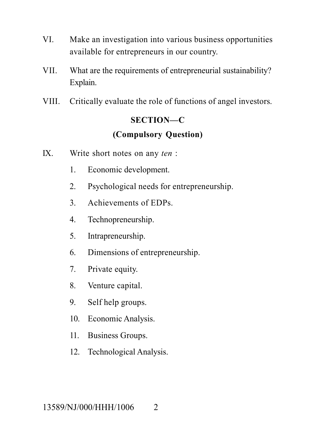- VI. Make an investigation into various business opportunities available for entrepreneurs in our country.
- VII. What are the requirements of entrepreneurial sustainability? Explain.
- VIII. Critically evaluate the role of functions of angel investors.

## **SECTION—C (Compulsory Question)**

- IX. Write short notes on any *ten* :
	- 1. Economic development.
	- 2. Psychological needs for entrepreneurship.
	- 3. Achievements of EDPs.
	- 4. Technopreneurship.
	- 5. Intrapreneurship.
	- 6. Dimensions of entrepreneurship.
	- 7. Private equity.
	- 8. Venture capital.
	- 9. Self help groups.
	- 10. Economic Analysis.
	- 11. Business Groups.
	- 12. Technological Analysis.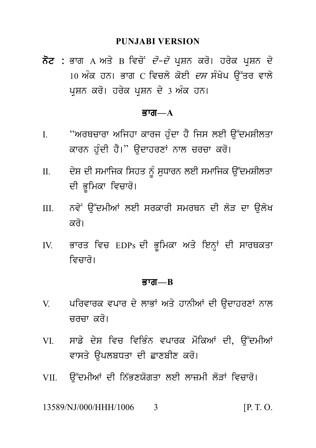## **PUNJABI VERSION**

PUNJABI VERSION<br>ਨੋਟ : ਭਾਗ A ਅਤੇ B ਵਿਚੋਂ *ਦੋ–ਦੋ* ਪ੍ਰਸ਼ਨ ਕਰੋ। ਹਰੇਕ ਪ੍ਰਸ਼ਨ ਦੇ<br>10 ਅੰਕ ਹਨ। ਭਾਗ C ਵਿਚਲੇ ਕੋਈ *ਦਸ* ਸੰਖੇਪ ਉੱਤਰ ਵਾਲੇ<br>ਪੁਸ਼ਨ ਕਰੋ। ਹਰੇਕ ਪੁਸ਼ਨ ਦੇ 3 ਅੰਕ ਹਨ। PUNJABI VERSION<br>ਭਾਗ A ਅਤੇ B ਵਿਚੋਂ *ਦੋ–ਦੋ* ਪ੍ਰਸ਼ਨ ਕਰੋ। ਹਰੇਕ ਪ੍ਰਸ਼ਨ ਦੇ<br>10 ਅੰਕ ਹਨ। ਭਾਗ C ਵਿਚਲੇ ਕੋਈ *ਦਸ* ਸੰਖੇਪ ਉੱਤਰ ਵਾਲੇ<br>ਪ੍ਰਸ਼ਨ ਕਰੋ। ਹਰੇਕ ਪ੍ਰਸ਼ਨ ਦੇ 3 ਅੰਕ ਹਨ। **ਨੋਟ :** ਭਾਗ A ਅਤੇ B ਵਿਚੋਂ *ਦੋ–ਦੋ* ਪ੍ਰਸ਼ਨ ਕਰੋ। ਹਰੇਕ ਪ੍ਰਸ਼ਨ ਦੇ<br>10 ਅੰਕ ਹਨ। ਭਾਗ C ਵਿਚਲੇ ਕੋਈ *ਦਸ* ਸੰਖੇਪ ਉੱਤਰ ਵਾਲੇ<br>ਪ੍ਰਸ਼ਨ ਕਰੋ। ਹਰੇਕ ਪ੍ਰਸ਼ਨ ਦੇ 3 ਅੰਕ ਹਨ।

### Bwg**—A**

- I. "ArQcwrw Aijhw kwrj h u Mdw h Y ijs leI a u~dmSIlqw **ਭਾਗ—A**<br>"ਅਰਥਚਾਰਾ ਅਜਿਹਾ ਕਾਰਜ ਹੁੰਦਾ ਹੈ ਜਿਸ ਲਈ ਉੱਦਮਸ਼ੀਲਤਾ<br>ਕਾਰਨ ਹੁੰਦੀ ਹੈ।" ਉਦਾਹਰਣਾਂ ਨਾਲ ਚਰਚਾ ਕਰੋ।<br>ਦੇਸ਼ ਦੀ ਸਮਾਜਿਕ ਸਿਹਤ ਨੂੰ ਸੁਧਾਰਨ ਲਈ ਸਮਾਜਿਕ ਉੱਦਮਸ਼ੀਲਤਾ
- I. "ਅਰਥਚਾਰਾ ਅਜਿਹਾ ਕਾਰਜ ਹੁੰਦਾ ਹੈ ਜਿਸ ਲਈ ਉੱਦਮਸ਼ੀਲਤਾ<br>ਕਾਰਨ ਹੁੰਦੀ ਹੈ।" ਉਦਾਹਰਣਾਂ ਨਾਲ ਚਰਚਾ ਕਰੋ।<br>II. ਵੇਸ਼ ਦੀ ਸਮਾਜਿਕ ਸਿਹਤ ਨੂੰ ਸੁਧਾਰਨ ਲਈ ਸਮਾਜਿਕ ਉੱਦਮਸ਼ੀਲਤਾ<br>ਦੀ ਭੂਮਿਕਾ ਵਿਚਾਰੋ। ਕਾਰਨ ਹੁੰਦੀ ਹੈ।'' ਉਦਾਹਰਣਾਂ ਨਾਲ ਚਰਚਾ ਕਰੋ।<br>ਦੇਸ਼ ਦੀ ਸਮਾਜਿਕ ਸਿਹਤ ਨੂੰ ਸੁਧਾਰਨ ਲਈ ਸਮਾਜਿਕ ਉੱਦਮਸ਼ੀਲਤਾ<br>ਦੀ ਭੂਮਿਕਾ ਵਿਚਾਰੋ।<br>ਨਵੇਂ ਉੱਦਮੀਆਂ ਲਈ ਸਰਕਾਰੀ ਸਮਰਥਨ ਦੀ ਲੋੜ ਦਾ ਉਲੇਖ<br>ਕੂਰੋ। III. nv yN a u~dmIAW leI srkwrI smrQn dI l oV dw a ul yK
- ਨਵੇਂ ਉੱਦਮੀਆਂ ਲਈ ਸਰਕਾਰੀ ਸਮਰਥਨ ਦੀ ਲੋੜ ਦਾ ਉਲੇਖ<br>ਕਰੋ।<br>ਭਾਰਤ ਵਿਚ EDPs ਦੀ ਭੂਮਿਕਾ ਅਤੇ ਇਨ੍ਹਾਂ ਦੀ ਸਾਰਥਕਤਾ<br>ਵਿਚਾਰੋ। III. ਨਵੇਂ ਉੱਦਮੀਆਂ ਲਈ ਸਰਕਾਰੀ ਸਮਰਥਨ ਦੀ ਲੋੜ ਦਾ ਉਲੇਖ<br>ਕਰੋ।<br>IV. ਭਾਰਤ ਵਿਚ EDPs ਦੀ ਭੂਮਿਕਾ ਅਤੇ ਇਨ੍ਹਾਂ ਦੀ ਸਾਰਥਕਤਾ<br>ਵਿਚਾਰੋ।
- ਭਾਰਤ ਵਿਚ EDPs ਦੀ ਭੂਮਿਕਾ ਅਤੇ ਇਨ੍ਹਾਂ ਦੀ ਸਾਰਥਕਤਾ

#### Bwg**—B**

- ਵਿਚਾਰੋ।<br>ਭਾਗ—B<br>V. ਪਰਿਵਾਰਕ ਵਪਾਰ ਦੇ ਲਾਭਾਂ ਅਤੇ ਹਾਨੀਆਂ ਦੀ ਉਦਾਹਰਣਾਂ ਨਾਲ<br>ਚਰਚਾ ਕਰੋ। ਪਰਿਵਾਰਕ ਵਪਾਰ ਦੇ ਲਾਭਾਂ ਅਤੇ ਹਾਨੀਆਂ ਦੀ ਉਦਾਹਰਣਾਂ ਨਾਲ<br>ਚਰਚਾ ਕਰੋ।<br>ਸਾਡੇ ਦੇਸ਼ ਵਿਚ ਵਿਭਿੰਨ ਵਪਾਰਕ ਮੌਕਿਆਂ ਦੀ, ਉੱਦਮੀਆਂ<br>ਵਾਸਤੇ ੳਪਲਬਧਤਾ ਦੀ ਛਾਣਬੀਣ ਕਰੋ। V. ਪਰਿਵਾਰਕ ਵਪਾਰ ਦੇ ਲਾਭਾਂ ਅਤੇ ਹਾਨੀਆਂ ਦੀ ਉਦਾਹਰਣਾਂ ਨਾਲ<br>ਚਰਚਾ ਕਰੋ।<br>VI. ਸਾਡੇ ਦੇਸ਼ ਵਿਚ ਵਿਭਿੰਨ ਵਪਾਰਕ ਮੌਕਿਆਂ ਦੀ, ਉੱਦਮੀਆਂ<br>ਵਾਸਤੇ ਉਪਲਬਧਤਾ ਦੀ ਛਾਣਬੀਣ ਕਰੋ।
- VI. ਸਾਡੇ ਦੇਸ਼ ਵਿਚ ਵਿਭਿੰਨ ਵਪਾਰਕ ਮੌਕਿਆਂ ਦੀ, ਉੱਦਮੀਆਂ<br>ਵਾਸਤੇ ਉਪਲਬਧਤਾ ਦੀ ਛਾਣਬੀਣ ਕਰੋ।<br>VII. ਉੱਦਮੀਆਂ ਦੀ ਨਿੱਭਣਯੋਗਤਾ ਲਈ ਲਾਜ਼ਮੀ ਲੋੜਾਂ ਵਿਚਾਰੋ। VI. ਸਾਡੇ ਦੇਸ਼ ਵਿਚ ਵਿਭਿੰਨ ਵਪਾਰਕ ਮੌਕਿਆਂ ਦੀ, ਉੱਦਮੀਆਂ<br>ਵਾਸਤੇ ਉਪਲਬਧਤਾ ਦੀ ਛਾਣਬੀਣ ਕਰੋ।<br>VII. ਉੱਦਮੀਆਂ ਦੀ ਨਿੱਭਣਯੋਗਤਾ ਲਈ ਲਾਜ਼ਮੀ ਲੋੜਾਂ ਵਿਚਾਰੋ।<br>13589/NI/000/HHH/1006 = 3
- 

13589/NJ/000/HHH/1006 3 [P. T. O.